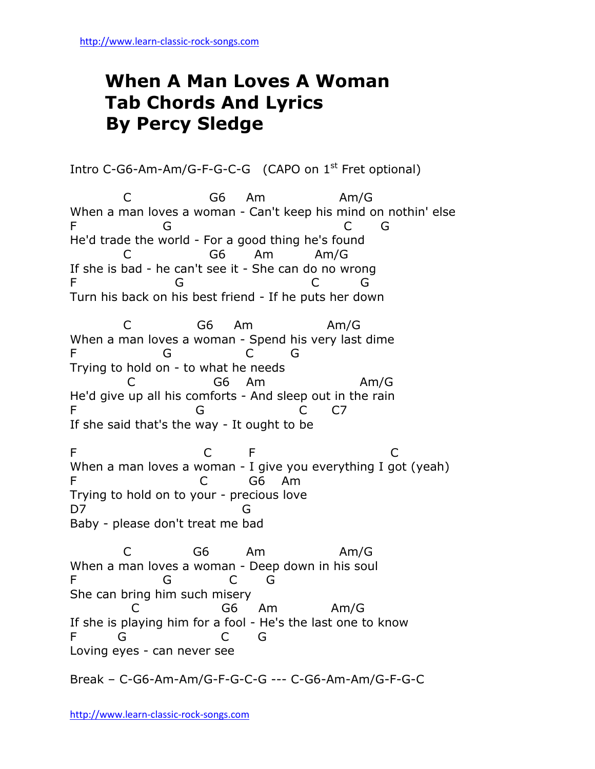## **When A Man Loves A Woman Tab Chords And Lyrics By Percy Sledge**

Intro C-G6-Am-Am/G-F-G-C-G (CAPO on 1<sup>st</sup> Fret optional) C G6 Am Am/G When a man loves a woman - Can't keep his mind on nothin' else F G G G G He'd trade the world - For a good thing he's found C G6 Am Am/G If she is bad - he can't see it - She can do no wrong F G G G G Turn his back on his best friend - If he puts her down C G6 Am Am/G When a man loves a woman - Spend his very last dime F G C G Trying to hold on - to what he needs C G6 Am Am/G He'd give up all his comforts - And sleep out in the rain F G C C7 If she said that's the way - It ought to be F C F C When a man loves a woman - I give you everything I got (yeah) F C G6 Am Trying to hold on to your - precious love D7 G Baby - please don't treat me bad C G6 Am Am/G When a man loves a woman - Deep down in his soul F G C G She can bring him such misery G6 Am Am/G If she is playing him for a fool - He's the last one to know F G C G Loving eyes - can never see

Break – C-G6-Am-Am/G-F-G-C-G --- C-G6-Am-Am/G-F-G-C